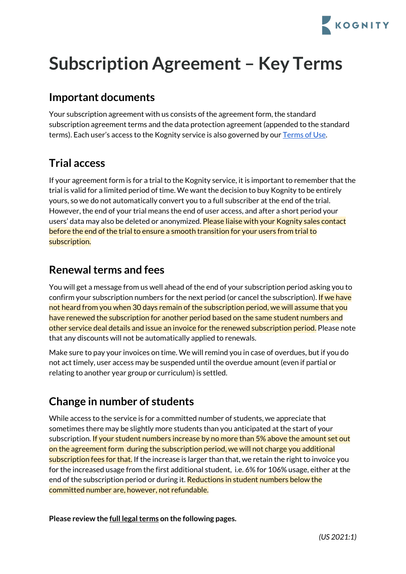

# **Subscription Agreement – Key Terms**

# **Important documents**

Your subscription agreement with us consists of the agreement form, the standard subscription agreement terms and the data protection agreement (appended to the standard terms). Each user's access to the Kognity service is also governed by our [Terms](https://app.kognity.com/terms/) of Use.

# **Trial access**

If your agreement form is for a trial to the Kognity service, it is important to remember that the trial is valid for a limited period of time. We want the decision to buy Kognity to be entirely yours, so we do not automatically convert you to a full subscriber at the end of the trial. However, the end of your trial means the end of user access, and after a short period your users' data may also be deleted or anonymized. Please liaise with your Kognity sales contact before the end of the trial to ensure a smooth transition for your users from trial to subscription.

# **Renewal terms and fees**

You will get a message from us well ahead of the end of your subscription period asking you to confirm your subscription numbers for the next period (or cancel the subscription). If we have not heard from you when 30 days remain of the subscription period, we will assume that you have renewed the subscription for another period based on the same student numbers and other service deal details and issue an invoice for the renewed subscription period. Please note that any discounts will not be automatically applied to renewals.

Make sure to pay your invoices on time. We will remind you in case of overdues, but if you do not act timely, user access may be suspended until the overdue amount (even if partial or relating to another year group or curriculum) is settled.

# **Change in number of students**

While access to the service is for a committed number of students, we appreciate that sometimes there may be slightly more students than you anticipated at the start of your subscription. If your student numbers increase by no more than 5% above the amount set out on the agreement form during the subscription period, we will not charge you additional subscription fees for that. If the increase is larger than that, we retain the right to invoice you for the increased usage from the first additional student, i.e. 6% for 106% usage, either at the end of the subscription period or during it. Reductions in student numbers below the committed number are, however, not refundable.

**Please review the full legalterms on the following pages.**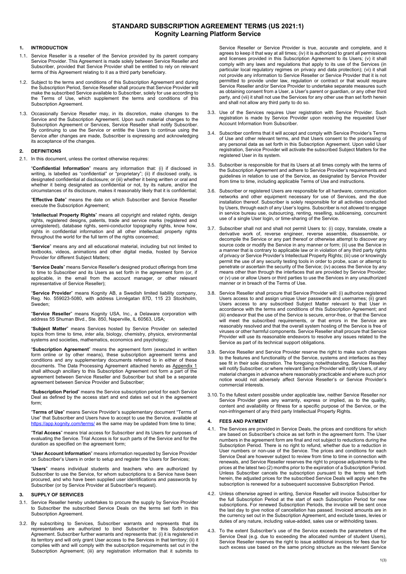## **STANDARD SUBSCRIPTION AGREEMENT TERMS (US 2021:1) Kognity Learning Platform Service**

### **1. INTRODUCTION**

- 1.1. Service Reseller is a reseller of the Service provided by its parent company Service Provider. This Agreement is made solely between Service Reseller and Subscriber, provided that Service Provider shall be entitled to rely on relevant terms of this Agreement relating to it as a third party beneficiary.
- 1.2. Subject to the terms and conditions of this Subscription Agreement and during the Subscription Period, Service Reseller shall procure that Service Provider will make the subscribed Service available to Subscriber, solely for use according to the Terms of Use, which supplement the terms and conditions of this Subscription Agreement.
- 1.3. Occasionally Service Reseller may, in its discretion, make changes to the Service and the Subscription Agreement. Upon such material changes to the Subscription Agreement or Services, Service Reseller shall notify Subscriber. By continuing to use the Service or entitle the Users to continue using the Service after changes are made, Subscriber is expressing and acknowledging its acceptance of the changes.

#### **2. DEFINITIONS**

2.1. In this document, unless the context otherwise requires:

"**Confidential Information**" means any information that: (i) if disclosed in writing, is labelled as "confidential" or "proprietary"; (ii) if disclosed orally, is designated confidential at disclosure; or (iii) whether it being written or oral and whether it being designated as confidential or not, by its nature, and/or the circumstances of its disclosure, makes it reasonably likely that it is confidential;

"**Effective Date**" means the date on which Subscriber and Service Reseller execute the Subscription Agreement:

"**Intellectual Property Rights**" means all copyright and related rights, design rights, registered designs, patents, trade and service marks (registered and unregistered), database rights, semi-conductor topography rights, know how, rights in confidential information and all other intellectual property rights throughout the world for the full term of the rights concerned;

"**Service**" means any and all educational material, including but not limited to textbooks, videos, animations and other digital media, hosted by Service Provider for different Subject Matters;

"**Service Deals**" means Service Reseller's designed product offerings from time to time to Subscriber and its Users as set forth in the agreement form (or, if applicable, in the email from the account manager, or other relevant representative of Service Reseller);

"**Service Provider**" means Kognity AB, a Swedish limited liability company, Reg. No. 559023-5080, with address Linnégatan 87D, 115 23 Stockholm, Sweden;

"**Service Reseller**" means Kognity USA, Inc., a Delaware corporation with address 55 Shuman Blvd., Ste. 850, Naperville, IL 60563, USA;

"**Subject Matter**" means Services hosted by Service Provider on selected topics from time to time, *inter alia*, biology, chemistry, physics, environmental systems and societies, mathematics, economics and psychology;

"**Subscription Agreement**" means the agreement form (executed in written form online or by other means), these subscription agreement terms and conditions and any supplementary documents referred to in either of these documents. The Data Processing Agreement attached hereto as Appendix 1 shall although ancillary to this Subscription Agreement not form a part of the agreement between Service Reseller and Subscriber but shall be a separate reement between Service Provider and Subscriber;

"**Subscription Period**" means the Service subscription period for each Service Deal as defined by the access start and end dates set out in the agreement form;

"**Terms of Use**" means Service Provider's supplementary document "Terms of Use" that Subscriber and Users have to accept to use the Service, available at kognity.com/terms/ as the same may be updated from time to time;

"**Trial Access**" means trial access for Subscriber and its Users for purposes of evaluating the Service. Trial Access is for such parts of the Service and for the duration as specified on the agreement form;

"**User Account Information**" means information requested by Service Provider on Subscriber's Users in order to setup and register the Users for Services;

"**Users**" means individual students and teachers who are authorized by Subscriber to use the Service, for whom subscriptions to a Service have been procured, and who have been supplied user identifications and passwords by Subscriber (or by Service Provider at Subscriber's request).

#### **3. SUPPLY OF SERVICES**

- 3.1. Service Reseller hereby undertakes to procure the supply by Service Provider to Subscriber the subscribed Service Deals on the terms set forth in this Subscription Agreement.
- 3.2. By subscribing to Services, Subscriber warrants and represents that its representatives are authorized to bind Subscriber to this Subscription Agreement. Subscriber further warrants and represents that: (i) it is registered in its territory and will only grant User access to the Services in that territory; (ii) it complies with and will comply with the subscription requirements set out in the Subscription Agreement; (iii) any registration information that it submits to

Service Reseller or Service Provider is true, accurate and complete, and it agrees to keep it that way at all times; (iv) it is authorized to grant all permissions and licenses provided in this Subscription Agreement to its Users; (v) it shall comply with any laws and regulations that apply to its use of the Services (in particular local regulatory regimes on privacy and data protection); (vi) it shall not provide any information to Service Reseller or Service Provider that it is not permitted to provide under law, regulation or contract or that would require Service Reseller and/or Service Provider to undertake separate measures such as obtaining consent from a User, a User's parent or guardian, or any other third party, and (vii) it shall not use the Services for any other use than set forth herein and shall not allow any third party to do so.

- 3.3. Use of the Services requires User registration with Service Provider. Such registration is made by Service Provider upon receiving the requested User Account Information from Subscriber.
- 3.4. Subscriber confirms that it will accept and comply with Service Provider's Terms of Use and other relevant terms, and that Users consent to the processing of any personal data as set forth in this Subscription Agreement. Upon valid User registration, Service Provider will activate the subscribed Subject Matters for the registered User in its system.
- 3.5. Subscriber is responsible for that its Users at all times comply with the terms of the Subscription Agreement and adhere to Service Provider's requirements and guidelines in relation to use of the Service, as designated by Service Provider from time to time, including applicable Terms of Use and instructions.
- 3.6. Subscriber or registered Users are responsible for all hardware, communication networks and other equipment necessary for use of Services, and the due installation thereof. Subscriber is solely responsible for all activities conducted by Users, through each of any User's logins. Subscriber is not allowed to engage in service bureau use, outsourcing, renting, reselling, sublicensing, concurrent use of a single User login, or time-sharing of the Service.
- 3.7. Subscriber shall not and shall not permit Users to: (i) copy, translate, create a derivative work of, reverse engineer, reverse assemble, disassemble, or decompile the Service or any part thereof or otherwise attempt to discover any source code or modify the Service in any manner or form; (ii) use the Service in a manner that is contrary to applicable law or in violation of any third party rights of privacy or Service Provider's Intellectual Property Rights; (iii) use or knowingly permit the use of any security testing tools in order to probe, scan or attempt to penetrate or ascertain the security of the Service; (iv) access the Service by any means other than through the interfaces that are provided by Service Provider; or (v) use or allow Users or third parties to use the Services in any unauthorized manner or in breach of the Terms of Use.
- 3.8. Service Reseller shall procure that Service Provider will: (i) authorize registered Users access to and assign unique User passwords and usernames; (ii) grant Users access to any subscribed Subject Matter relevant to that User in accordance with the terms and conditions of this Subscription Agreement; and (iii) endeavor that the use of the Service is secure, error-free, or that the Service will meet the subscribed requirements, or that errors in the Service are reasonably resolved and that the overall system hosting of the Service is free of viruses or other harmful components. Service Reseller shall procure that Service Provider will use its reasonable endeavors to resolve any issues related to the Service as part of its technical support obligations.
- 3.9. Service Reseller and Service Provider reserve the right to make such changes to the features and functionality of the Service, systems and interfaces as they see fit in their sole discretion. The foregoing notwithstanding, Service Reseller will notify Subscriber, or where relevant Service Provider will notify Users, of any material changes in advance where reasonably practicable and where such prior notice would not adversely affect Service Reseller's or Service Provider's commercial interests.
- 3.10. To the fullest extent possible under applicable law, neither Service Reseller nor Service Provider gives any warranty, express or implied, as to the quality, content and availability or fitness for a specific purpose of the Service, or the non-infringement of any third party Intellectual Property Rights.

### **4. FEES AND PAYMENT**

- 4.1. The Services are provided in Service Deals, the prices and conditions for which are based on Subscriber's choice as set forth in the agreement form. The User numbers in the agreement form are final and not subject to reductions during the Subscription Period. There is no right to refund, whether due to a reduction in User numbers or non-use of the Service. The prices and conditions for each Service Deal are however subject to review from time to time in connection with renewals, and Service Reseller reserves the right to propose adjustments to the prices at the latest two (2) months prior to the expiration of a Subscription Period. Unless Subscriber cancels the subscription pursuant to the terms set forth herein, the adjusted prices for the subscribed Service Deals will apply when the subscription is renewed for a subsequent successive Subscription Period.
- 4.2. Unless otherwise agreed in writing, Service Reseller will invoice Subscriber for the full Subscription Period at the start of each Subscription Period for new subscriptions. For renewed Subscription Periods, the invoice will be sent once the last day to give notice of cancellation has passed. Invoiced amounts are in the currency set out in the Subscription Agreement, and exclude taxes, levies or duties of any nature, including value-added, sales use or withholding taxes.
- 4.3. To the extent Subscriber's use of the Service exceeds the parameters of the Service Deal (e.g. due to exceeding the allocated number of student Users), Service Reseller reserves the right to issue additional invoices for fees due for such excess use based on the same pricing structure as the relevant Service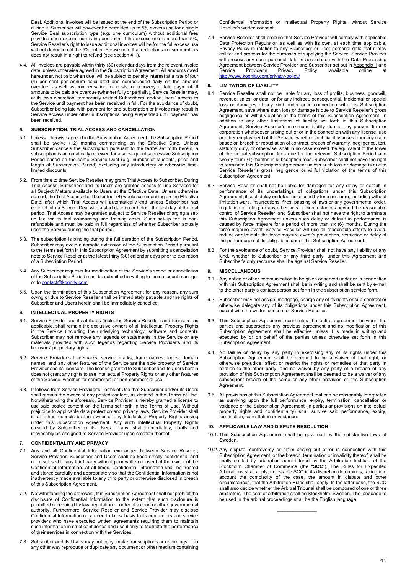Deal. Additional invoices will be issued at the end of the Subscription Period or during it. Subscriber will however be permitted up to 5% excess use for a single Service Deal subscription type (e.g. one curriculum) without additional fees provided such excess use is in good faith. If the excess use is more than 5%, Service Reseller's right to issue additional invoices will be for the full excess use without deduction of the 5% buffer. Please note that reductions in user numbers does not result in a right to refund (see section 4.1).

4.4. All invoices are payable within thirty (30) calendar days from the relevant invoice date, unless otherwise agreed in the Subscription Agreement. All amounts owed hereunder, not paid when due, will be subject to penalty interest at a rate of four (4) per cent per annum calculated and compounded daily on the amount overdue, as well as compensation for costs for recovery of late payment. If amounts to be paid are overdue (whether fully or partially), Service Reseller may, at its own discretion, temporarily restrict Subscribers' and/or Users' access to the Service until payment has been received in full. For the avoidance of doubt, Subscriber being late with payment for one subscription or invoice may result in Service access under other subscriptions being suspended until payment has been received.

#### **5. SUBSCRIPTION, TRIAL ACCESS AND CANCELLATION**

- 5.1. Unless otherwise agreed in the Subscription Agreement, the Subscription Period shall be twelve (12) months commencing on the Effective Date. Unless Subscriber cancels the subscription pursuant to the terms set forth herein, a subscription is automatically renewed for a subsequent successive Subscription Period based on the same Service Deal (e.g. number of students, price and length of Subscription Period) excluding any introductory or otherwise timelimited discounts.
- 5.2. From time to time Service Reseller may grant Trial Access to Subscriber. During Trial Access, Subscriber and its Users are granted access to use Services for all Subject Matters available to Users at the Effective Date. Unless otherwise agreed, the Trial Access shall be for four (4) weeks commencing on the Effective Date, after which Trial Access will automatically end unless Subscriber has entered into a Service Deal with a start date on or before the last day of the trial period. Trial Access may be granted subject to Service Reseller charging a setup fee for its trial onboarding and training costs. Such set-up fee is non-refundable and must be paid in full regardless of whether Subscriber actually uses the Service during the trial period.
- 5.3. The subscription is binding during the full duration of the Subscription Period. Subscriber may avoid automatic extension of the Subscription Period pursuant to the terms set forth in this Subscription Agreement by submitting a cancellation note to Service Reseller at the latest thirty (30) calendar days prior to expiration of a Subscription Period.
- 5.4. Any Subscriber requests for modification of the Service's scope or cancellation of the Subscription Period must be submitted in writing to their account manager or to contact@kognity.com
- 5.5. Upon the termination of this Subscription Agreement for any reason, any sum owing or due to Service Reseller shall be immediately payable and the rights of Subscriber and Users herein shall be immediately cancelled.

#### **6. INTELLECTUAL PROPERTY RIGHTS**

- 6.1. Service Provider and its affiliates (including Service Reseller) and licensors, as applicable, shall remain the exclusive owners of all Intellectual Property Rights in the Service (including the underlying technology, software and content). Subscriber may not remove any legends or statements in the Service or any materials provided with such legends regarding Service Provider's and its licensors' proprietary rights.
- 6.2. Service Provider's trademarks, service marks, trade names, logos, domain names, and any other features of the Service are the sole property of Service Provider and its licensors. The license granted to Subscriber and its Users herein does not grant any rights to use Intellectual Property Rights or any other features of the Service, whether for commercial or non-commercial use.
- 6.3. It follows from Service Provider's Terms of Use that Subscriber and/or its Users shall remain the owner of any posted content, as defined in the Terms of Use. Notwithstanding the aforesaid, Service Provider is hereby granted a license to use said posted content on the terms set forth in the Terms of Use. Without prejudice to applicable data protection and privacy laws, Service Provider shall in all other respects be the owner of any Intellectual Property Rights arising under this Subscription Agreement. Any such Intellectual Property Rights created by Subscriber or its Users, if any, shall immediately, finally and irrevocably be assigned to Service Provider upon creation thereof.

#### **7. CONFIDENTIALITY AND PRIVACY**

- 7.1. Any and all Confidential Information exchanged between Service Reseller, Service Provider, Subscriber and Users shall be keep strictly confidential and not disclosed to any third party without prior written consent of the owner of the Confidential Information. At all times, Confidential Information shall be treated and stored carefully and appropriately so that the Confidential Information is not inadvertently made available to any third party or otherwise disclosed in breach of this Subscription Agreement.
- 7.2. Notwithstanding the aforesaid, this Subscription Agreement shall not prohibit the disclosure of Confidential Information to the extent that such disclosure is permitted or required by law, regulation or order of a court or other governmental authority. Furthermore, Service Reseller and Service Provider may disclose Confidential Information on a need to know basis to its contractors and service providers who have executed written agreements requiring them to maintain such information in strict confidence and use it only to facilitate the performance of their services in connection with the Services.
- 7.3. Subscriber and its Users may not copy, make transcriptions or recordings or in any other way reproduce or duplicate any document or other medium containing

Confidential Information or Intellectual Property Rights, without Service Reseller's written consent.

7.4. Service Reseller shall procure that Service Provider will comply with applicable Data Protection Regulation as well as with its own, at each time applicable, Privacy Policy in relation to any Subscriber or User personal data that it may collect and process for the purposes of supplying the Service. Service Provider will process any such personal data in accordance with the Data Processing Agreement between Service Provider and Subscriber set out in Appendix 1 and<br>Service Provider's Privacy Policy, available online at Service Provider's Privacy Policy, available online at http://www.kognity.com/privacy-policy/

#### **8. LIMITATION OF LIABILITY**

- 8.1. Service Reseller shall not be liable for any loss of profits, business, goodwill, revenue, sales, or data, or for any indirect, consequential, incidental or special loss or damages of any kind under or in connection with this Subscription Agreement, save where such loss or damage is due to Service Reseller's gross negligence or willful violation of the terms of this Subscription Agreement. In addition to any other limitations of liability set forth in this Subscription Agreement, Service Reseller's maximum liability due to any person, firm or corporation whatsoever arising out of or in the connection with any license, use or other employment of the Service, whether such liability arises from any claim based on breach or repudiation of contract, breach of warranty, negligence, tort, statutory duty, or otherwise, shall in no case exceed the equivalent of the lower of the actual subscription fees due for the relevant Subscription Period and twenty four (24) months in subscription fees. Subscriber shall not have the right to terminate this Subscription Agreement unless such loss or damage is due to Service Reseller's gross negligence or willful violation of the terms of this Subscription Agreement.
- 8.2. Service Reseller shall not be liable for damages for any delay or default in performance of its undertakings of obligations under this Subscription Agreement, if such delay or default is caused by force majeure, including without limitation wars, insurrections, fires, passing of laws or any governmental order, regulation or ruling, or any other acts or circumstances beyond the reasonable control of Service Reseller, and Subscriber shall not have the right to terminate this Subscription Agreement unless such delay or default in performance is caused by force majeure for a period of more than six (6) months. During the force majeure event, Service Reseller will use all reasonable efforts to avoid, reduce or eliminate the force majeure event's prevention, restriction or delay of the performance of its obligations under this Subscription Agreement.
- 8.3. For the avoidance of doubt, Service Provider shall not have any liability of any kind, whether to Subscriber or any third party, under this Agreement and Subscriber's only recourse shall be against Service Reseller.

#### **9. MISCELLANEOUS**

- 9.1. Any notice or other communication to be given or served under or in connection with this Subscription Agreement shall be in writing and shall be sent by e-mail to the other party's contact person set forth in the subscription service form.
- 9.2. Subscriber may not assign, mortgage, charge any of its rights or sub-contract or otherwise delegate any of its obligations under this Subscription Agreement, except with the written consent of Service Reseller.
- 9.3. This Subscription Agreement constitutes the entire agreement between the parties and supersedes any previous agreement and no modification of this Subscription Agreement shall be effective unless it is made in writing and executed by or on behalf of the parties unless otherwise set forth in this Subscription Agreement.
- 9.4. No failure or delay by any party in exercising any of its rights under this Subscription Agreement shall be deemed to be a waiver of that right, or otherwise prejudice, affect or restrict the rights or remedies of that party in relation to the other party, and no waiver by any party of a breach of any provision of this Subscription Agreement shall be deemed to be a waiver of any subsequent breach of the same or any other provision of this Subscription Agreement.
- 9.5. All provisions of this Subscription Agreement that can be reasonably interpreted as surviving upon the full performance, expiry, termination, cancellation or voidance of the Subscription Agreement (in particular provisions on intellectual property rights and confidentiality) shall survive said performance, expiry, termination, cancellation or voidance.

#### **10. APPLICABLE LAW AND DISPUTE RESOLUTION**

- 10.1. This Subscription Agreement shall be governed by the substantive laws of Sweden.
- 10.2. Any dispute, controversy or claim arising out of or in connection with this Subscription Agreement, or the breach, termination or invalidity thereof, shall be finally settled by arbitration administered by the Arbitration Institute of the Stockholm Chamber of Commerce (the "**SCC**"). The Rules for Expedited Arbitrations shall apply, unless the SCC in its discretion determines, taking into account the complexity of the case, the amount in dispute and other circumstances, that the Arbitration Rules shall apply. In the latter case, the SCC shall also decide whether the Arbitral Tribunal shall be composed of one or three arbitrators. The seat of arbitration shall be Stockholm, Sweden. The language to be used in the arbitral proceedings shall be the English language.

 $\mathcal{L}=\mathcal{L}=\mathcal{L}=\mathcal{L}=\mathcal{L}=\mathcal{L}=\mathcal{L}=\mathcal{L}$